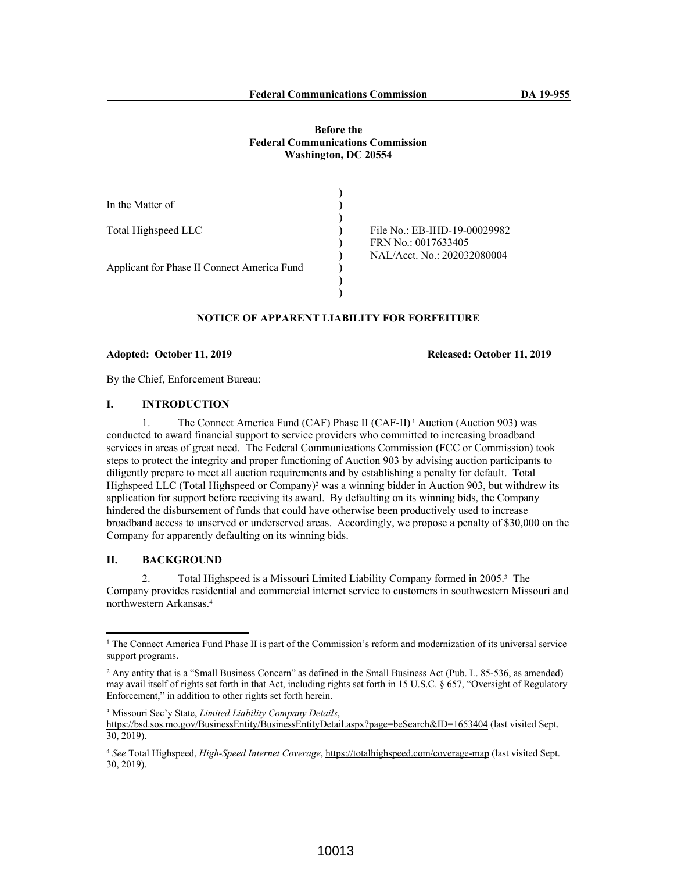#### **Before the Federal Communications Commission Washington, DC 20554**

| In the Matter of                            |                              |
|---------------------------------------------|------------------------------|
|                                             |                              |
| Total Highspeed LLC                         | File No.: EB-IHD-19-00029982 |
|                                             | FRN No.: 0017633405          |
|                                             | NAL/Acct. No.: 202032080004  |
| Applicant for Phase II Connect America Fund |                              |
|                                             |                              |
|                                             |                              |

# **NOTICE OF APPARENT LIABILITY FOR FORFEITURE**

**Adopted: October 11, 2019 Released: October 11, 2019**

By the Chief, Enforcement Bureau:

# **I. INTRODUCTION**

1. The Connect America Fund (CAF) Phase II (CAF-II) 1 Auction (Auction 903) was conducted to award financial support to service providers who committed to increasing broadband services in areas of great need. The Federal Communications Commission (FCC or Commission) took steps to protect the integrity and proper functioning of Auction 903 by advising auction participants to diligently prepare to meet all auction requirements and by establishing a penalty for default. Total Highspeed LLC (Total Highspeed or Company)<sup>2</sup> was a winning bidder in Auction 903, but withdrew its application for support before receiving its award. By defaulting on its winning bids, the Company hindered the disbursement of funds that could have otherwise been productively used to increase broadband access to unserved or underserved areas. Accordingly, we propose a penalty of \$30,000 on the Company for apparently defaulting on its winning bids.

# **II. BACKGROUND**

2. Total Highspeed is a Missouri Limited Liability Company formed in 2005.<sup>3</sup> The Company provides residential and commercial internet service to customers in southwestern Missouri and northwestern Arkansas.<sup>4</sup>

<sup>&</sup>lt;sup>1</sup> The Connect America Fund Phase II is part of the Commission's reform and modernization of its universal service support programs.

<sup>2</sup> Any entity that is a "Small Business Concern" as defined in the Small Business Act (Pub. L. 85-536, as amended) may avail itself of rights set forth in that Act, including rights set forth in 15 U.S.C. § 657, "Oversight of Regulatory Enforcement," in addition to other rights set forth herein.

<sup>3</sup> Missouri Sec'y State, *Limited Liability Company Details*,

https://bsd.sos.mo.gov/BusinessEntity/BusinessEntityDetail.aspx?page=beSearch&ID=1653404 (last visited Sept. 30, 2019).

<sup>4</sup> *See* Total Highspeed, *High-Speed Internet Coverage*, https://totalhighspeed.com/coverage-map (last visited Sept. 30, 2019).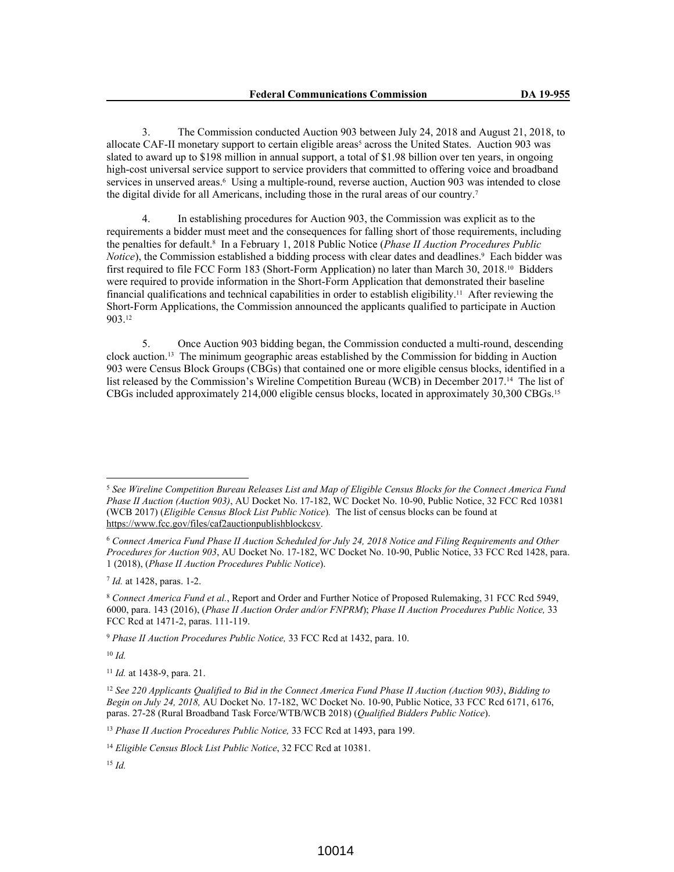3. The Commission conducted Auction 903 between July 24, 2018 and August 21, 2018, to allocate CAF-II monetary support to certain eligible areas<sup>5</sup> across the United States. Auction 903 was slated to award up to \$198 million in annual support, a total of \$1.98 billion over ten years, in ongoing high-cost universal service support to service providers that committed to offering voice and broadband services in unserved areas.<sup>6</sup> Using a multiple-round, reverse auction, Auction 903 was intended to close the digital divide for all Americans, including those in the rural areas of our country.<sup>7</sup>

4. In establishing procedures for Auction 903, the Commission was explicit as to the requirements a bidder must meet and the consequences for falling short of those requirements, including the penalties for default.<sup>8</sup> In a February 1, 2018 Public Notice (*Phase II Auction Procedures Public*  Notice), the Commission established a bidding process with clear dates and deadlines.<sup>9</sup> Each bidder was first required to file FCC Form 183 (Short-Form Application) no later than March 30, 2018.10 Bidders were required to provide information in the Short-Form Application that demonstrated their baseline financial qualifications and technical capabilities in order to establish eligibility.11 After reviewing the Short-Form Applications, the Commission announced the applicants qualified to participate in Auction 903.<sup>12</sup>

5. Once Auction 903 bidding began, the Commission conducted a multi-round, descending clock auction.13 The minimum geographic areas established by the Commission for bidding in Auction 903 were Census Block Groups (CBGs) that contained one or more eligible census blocks, identified in a list released by the Commission's Wireline Competition Bureau (WCB) in December 2017.14 The list of CBGs included approximately 214,000 eligible census blocks, located in approximately 30,300 CBGs.<sup>15</sup>

7 *Id.* at 1428, paras. 1-2.

<sup>10</sup> *Id.*

<sup>13</sup> *Phase II Auction Procedures Public Notice,* 33 FCC Rcd at 1493, para 199.

<sup>5</sup> *See Wireline Competition Bureau Releases List and Map of Eligible Census Blocks for the Connect America Fund Phase II Auction (Auction 903)*, AU Docket No. 17-182, WC Docket No. 10-90, Public Notice, 32 FCC Rcd 10381 (WCB 2017) (*Eligible Census Block List Public Notice*)*.* The list of census blocks can be found at https://www.fcc.gov/files/caf2auctionpublishblockcsv.

<sup>6</sup> *Connect America Fund Phase II Auction Scheduled for July 24, 2018 Notice and Filing Requirements and Other Procedures for Auction 903*, AU Docket No. 17-182, WC Docket No. 10-90, Public Notice, 33 FCC Rcd 1428, para. 1 (2018), (*Phase II Auction Procedures Public Notice*).

<sup>8</sup> *Connect America Fund et al.*, Report and Order and Further Notice of Proposed Rulemaking, 31 FCC Rcd 5949, 6000, para. 143 (2016), (*Phase II Auction Order and/or FNPRM*); *Phase II Auction Procedures Public Notice,* 33 FCC Rcd at 1471-2, paras. 111-119.

<sup>9</sup> *Phase II Auction Procedures Public Notice,* 33 FCC Rcd at 1432, para. 10.

<sup>11</sup> *Id.* at 1438-9, para. 21.

<sup>12</sup> *See 220 Applicants Qualified to Bid in the Connect America Fund Phase II Auction (Auction 903)*, *Bidding to Begin on July 24, 2018,* AU Docket No. 17-182, WC Docket No. 10-90, Public Notice, 33 FCC Rcd 6171, 6176, paras. 27-28 (Rural Broadband Task Force/WTB/WCB 2018) (*Qualified Bidders Public Notice*).

<sup>14</sup> *Eligible Census Block List Public Notice*, 32 FCC Rcd at 10381.

<sup>15</sup> *Id.*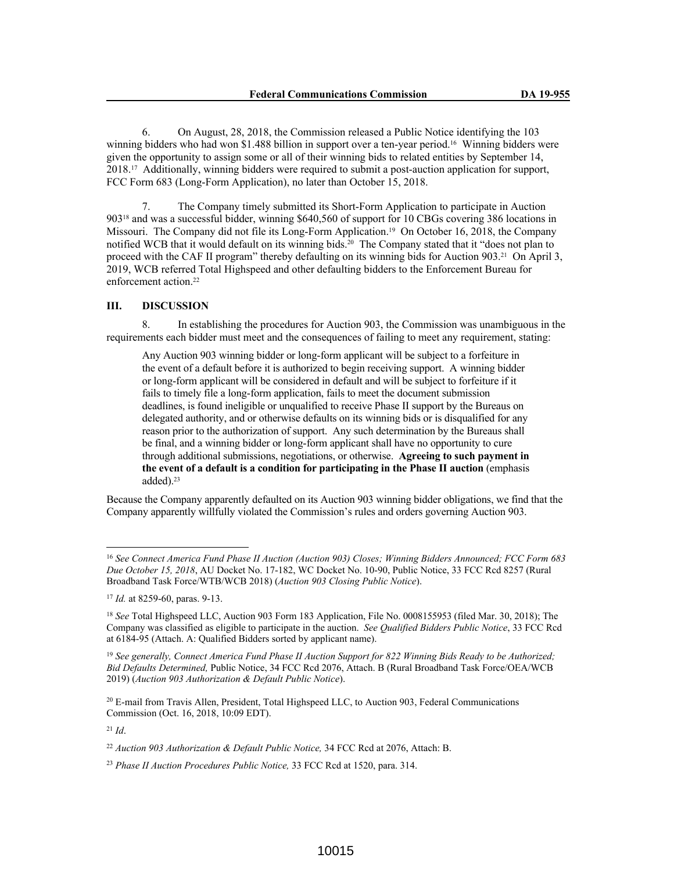6. On August, 28, 2018, the Commission released a Public Notice identifying the 103 winning bidders who had won \$1.488 billion in support over a ten-year period.<sup>16</sup> Winning bidders were given the opportunity to assign some or all of their winning bids to related entities by September 14, 2018.17 Additionally, winning bidders were required to submit a post-auction application for support, FCC Form 683 (Long-Form Application), no later than October 15, 2018.

7. The Company timely submitted its Short-Form Application to participate in Auction 90318 and was a successful bidder, winning \$640,560 of support for 10 CBGs covering 386 locations in Missouri. The Company did not file its Long-Form Application.19 On October 16, 2018, the Company notified WCB that it would default on its winning bids.<sup>20</sup> The Company stated that it "does not plan to proceed with the CAF II program" thereby defaulting on its winning bids for Auction 903.21 On April 3, 2019, WCB referred Total Highspeed and other defaulting bidders to the Enforcement Bureau for enforcement action.<sup>22</sup>

# **III. DISCUSSION**

8. In establishing the procedures for Auction 903, the Commission was unambiguous in the requirements each bidder must meet and the consequences of failing to meet any requirement, stating:

Any Auction 903 winning bidder or long-form applicant will be subject to a forfeiture in the event of a default before it is authorized to begin receiving support. A winning bidder or long-form applicant will be considered in default and will be subject to forfeiture if it fails to timely file a long-form application, fails to meet the document submission deadlines, is found ineligible or unqualified to receive Phase II support by the Bureaus on delegated authority, and or otherwise defaults on its winning bids or is disqualified for any reason prior to the authorization of support. Any such determination by the Bureaus shall be final, and a winning bidder or long-form applicant shall have no opportunity to cure through additional submissions, negotiations, or otherwise. **Agreeing to such payment in the event of a default is a condition for participating in the Phase II auction** (emphasis added).<sup>23</sup>

Because the Company apparently defaulted on its Auction 903 winning bidder obligations, we find that the Company apparently willfully violated the Commission's rules and orders governing Auction 903.

<sup>19</sup> *See generally, Connect America Fund Phase II Auction Support for 822 Winning Bids Ready to be Authorized; Bid Defaults Determined,* Public Notice, 34 FCC Rcd 2076, Attach. B (Rural Broadband Task Force/OEA/WCB 2019) (*Auction 903 Authorization & Default Public Notice*).

<sup>20</sup> E-mail from Travis Allen, President, Total Highspeed LLC, to Auction 903, Federal Communications Commission (Oct. 16, 2018, 10:09 EDT).

<sup>21</sup> *Id*.

<sup>16</sup> *See Connect America Fund Phase II Auction (Auction 903) Closes; Winning Bidders Announced; FCC Form 683 Due October 15, 2018*, AU Docket No. 17-182, WC Docket No. 10-90, Public Notice, 33 FCC Rcd 8257 (Rural Broadband Task Force/WTB/WCB 2018) (*Auction 903 Closing Public Notice*).

<sup>17</sup> *Id.* at 8259-60, paras. 9-13.

<sup>18</sup> *See* Total Highspeed LLC, Auction 903 Form 183 Application, File No. 0008155953 (filed Mar. 30, 2018); The Company was classified as eligible to participate in the auction. *See Qualified Bidders Public Notice*, 33 FCC Rcd at 6184-95 (Attach. A: Qualified Bidders sorted by applicant name).

<sup>22</sup> *Auction 903 Authorization & Default Public Notice,* 34 FCC Rcd at 2076, Attach: B.

<sup>23</sup> *Phase II Auction Procedures Public Notice,* 33 FCC Rcd at 1520, para. 314.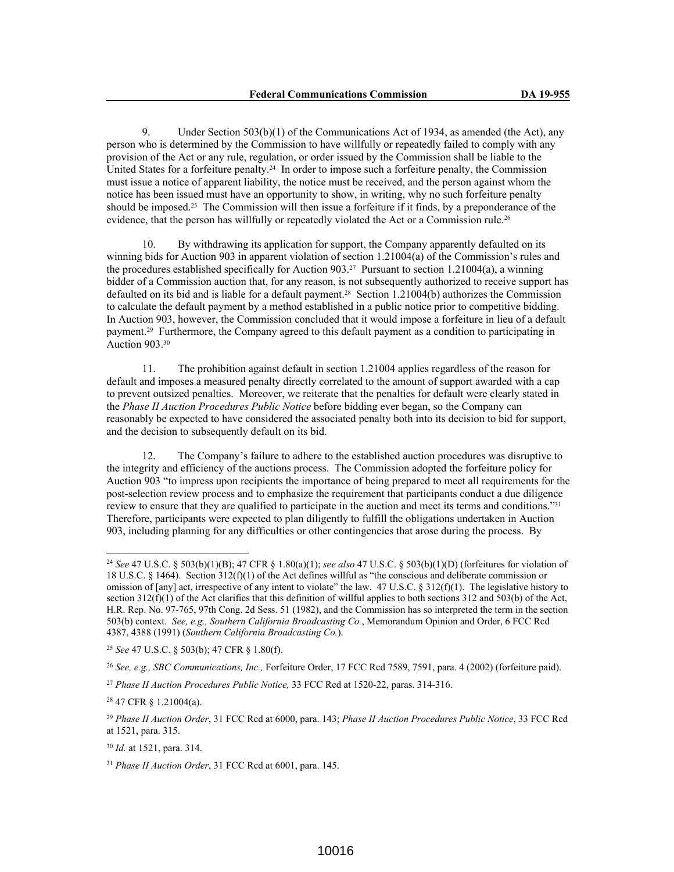9. Under Section 503(b)(1) of the Communications Act of 1934, as amended (the Act), any person who is determined by the Commission to have willfully or repeatedly failed to comply with any provision of the Act or any rule, regulation, or order issued by the Commission shall be liable to the United States for a forfeiture penalty.24 In order to impose such a forfeiture penalty, the Commission must issue a notice of apparent liability, the notice must be received, and the person against whom the notice has been issued must have an opportunity to show, in writing, why no such forfeiture penalty should be imposed.25 The Commission will then issue a forfeiture if it finds, by a preponderance of the evidence, that the person has willfully or repeatedly violated the Act or a Commission rule.<sup>26</sup>

10. By withdrawing its application for support, the Company apparently defaulted on its winning bids for Auction 903 in apparent violation of section 1.21004(a) of the Commission's rules and the procedures established specifically for Auction  $903<sup>27</sup>$  Pursuant to section 1.21004(a), a winning bidder of a Commission auction that, for any reason, is not subsequently authorized to receive support has defaulted on its bid and is liable for a default payment.28 Section 1.21004(b) authorizes the Commission to calculate the default payment by a method established in a public notice prior to competitive bidding. In Auction 903, however, the Commission concluded that it would impose a forfeiture in lieu of a default payment.29 Furthermore, the Company agreed to this default payment as a condition to participating in Auction 903.<sup>30</sup>

11. The prohibition against default in section 1.21004 applies regardless of the reason for default and imposes a measured penalty directly correlated to the amount of support awarded with a cap to prevent outsized penalties. Moreover, we reiterate that the penalties for default were clearly stated in the *Phase II Auction Procedures Public Notice* before bidding ever began, so the Company can reasonably be expected to have considered the associated penalty both into its decision to bid for support, and the decision to subsequently default on its bid.

12. The Company's failure to adhere to the established auction procedures was disruptive to the integrity and efficiency of the auctions process. The Commission adopted the forfeiture policy for Auction 903 "to impress upon recipients the importance of being prepared to meet all requirements for the post-selection review process and to emphasize the requirement that participants conduct a due diligence review to ensure that they are qualified to participate in the auction and meet its terms and conditions."<sup>31</sup> Therefore, participants were expected to plan diligently to fulfill the obligations undertaken in Auction 903, including planning for any difficulties or other contingencies that arose during the process. By

<sup>25</sup> *See* 47 U.S.C. § 503(b); 47 CFR § 1.80(f).

<sup>26</sup> *See, e.g., SBC Communications, Inc.,* Forfeiture Order, 17 FCC Rcd 7589, 7591, para. 4 (2002) (forfeiture paid).

<sup>28</sup> 47 CFR § 1.21004(a).

<sup>30</sup> *Id.* at 1521, para. 314.

<sup>24</sup> *See* 47 U.S.C. § 503(b)(1)(B); 47 CFR § 1.80(a)(1); *see also* 47 U.S.C. § 503(b)(1)(D) (forfeitures for violation of 18 U.S.C. § 1464). Section 312(f)(1) of the Act defines willful as "the conscious and deliberate commission or omission of [any] act, irrespective of any intent to violate" the law. 47 U.S.C. § 312(f)(1). The legislative history to section  $312(f)(1)$  of the Act clarifies that this definition of willful applies to both sections 312 and 503(b) of the Act, H.R. Rep. No. 97-765, 97th Cong. 2d Sess. 51 (1982), and the Commission has so interpreted the term in the section 503(b) context. *See, e.g., Southern California Broadcasting Co.*, Memorandum Opinion and Order, 6 FCC Rcd 4387, 4388 (1991) (*Southern California Broadcasting Co.*).

<sup>27</sup> *Phase II Auction Procedures Public Notice,* 33 FCC Rcd at 1520-22, paras. 314-316.

<sup>29</sup> *Phase II Auction Order*, 31 FCC Rcd at 6000, para. 143; *Phase II Auction Procedures Public Notice*, 33 FCC Rcd at 1521, para. 315.

<sup>31</sup> *Phase II Auction Order*, 31 FCC Rcd at 6001, para. 145.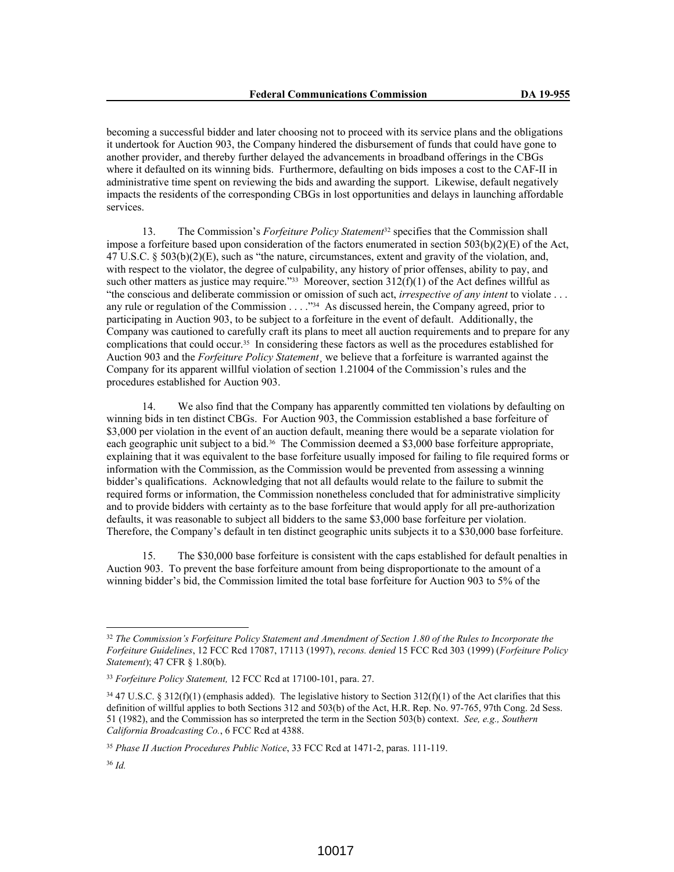becoming a successful bidder and later choosing not to proceed with its service plans and the obligations it undertook for Auction 903, the Company hindered the disbursement of funds that could have gone to another provider, and thereby further delayed the advancements in broadband offerings in the CBGs where it defaulted on its winning bids. Furthermore, defaulting on bids imposes a cost to the CAF-II in administrative time spent on reviewing the bids and awarding the support. Likewise, default negatively impacts the residents of the corresponding CBGs in lost opportunities and delays in launching affordable services.

13. The Commission's *Forfeiture Policy Statement*32 specifies that the Commission shall impose a forfeiture based upon consideration of the factors enumerated in section 503(b)(2)(E) of the Act, 47 U.S.C. § 503(b)(2)(E), such as "the nature, circumstances, extent and gravity of the violation, and, with respect to the violator, the degree of culpability, any history of prior offenses, ability to pay, and such other matters as justice may require."<sup>33</sup> Moreover, section  $312(f)(1)$  of the Act defines willful as "the conscious and deliberate commission or omission of such act, *irrespective of any intent* to violate . . . any rule or regulation of the Commission . . . . "34 As discussed herein, the Company agreed, prior to participating in Auction 903, to be subject to a forfeiture in the event of default. Additionally, the Company was cautioned to carefully craft its plans to meet all auction requirements and to prepare for any complications that could occur.35 In considering these factors as well as the procedures established for Auction 903 and the *Forfeiture Policy Statement*¸ we believe that a forfeiture is warranted against the Company for its apparent willful violation of section 1.21004 of the Commission's rules and the procedures established for Auction 903.

14. We also find that the Company has apparently committed ten violations by defaulting on winning bids in ten distinct CBGs. For Auction 903, the Commission established a base forfeiture of \$3,000 per violation in the event of an auction default, meaning there would be a separate violation for each geographic unit subject to a bid.36 The Commission deemed a \$3,000 base forfeiture appropriate, explaining that it was equivalent to the base forfeiture usually imposed for failing to file required forms or information with the Commission, as the Commission would be prevented from assessing a winning bidder's qualifications. Acknowledging that not all defaults would relate to the failure to submit the required forms or information, the Commission nonetheless concluded that for administrative simplicity and to provide bidders with certainty as to the base forfeiture that would apply for all pre-authorization defaults, it was reasonable to subject all bidders to the same \$3,000 base forfeiture per violation. Therefore, the Company's default in ten distinct geographic units subjects it to a \$30,000 base forfeiture.

15. The \$30,000 base forfeiture is consistent with the caps established for default penalties in Auction 903. To prevent the base forfeiture amount from being disproportionate to the amount of a winning bidder's bid, the Commission limited the total base forfeiture for Auction 903 to 5% of the

<sup>32</sup> *The Commission's Forfeiture Policy Statement and Amendment of Section 1.80 of the Rules to Incorporate the Forfeiture Guidelines*, 12 FCC Rcd 17087, 17113 (1997), *recons. denied* 15 FCC Rcd 303 (1999) (*Forfeiture Policy Statement*); 47 CFR § 1.80(b).

<sup>33</sup> *Forfeiture Policy Statement,* 12 FCC Rcd at 17100-101, para. 27.

 $34$  47 U.S.C. § 312(f)(1) (emphasis added). The legislative history to Section 312(f)(1) of the Act clarifies that this definition of willful applies to both Sections 312 and 503(b) of the Act, H.R. Rep. No. 97-765, 97th Cong. 2d Sess. 51 (1982), and the Commission has so interpreted the term in the Section 503(b) context. *See, e.g., Southern California Broadcasting Co.*, 6 FCC Rcd at 4388.

<sup>35</sup> *Phase II Auction Procedures Public Notice*, 33 FCC Rcd at 1471-2, paras. 111-119.

<sup>36</sup> *Id.*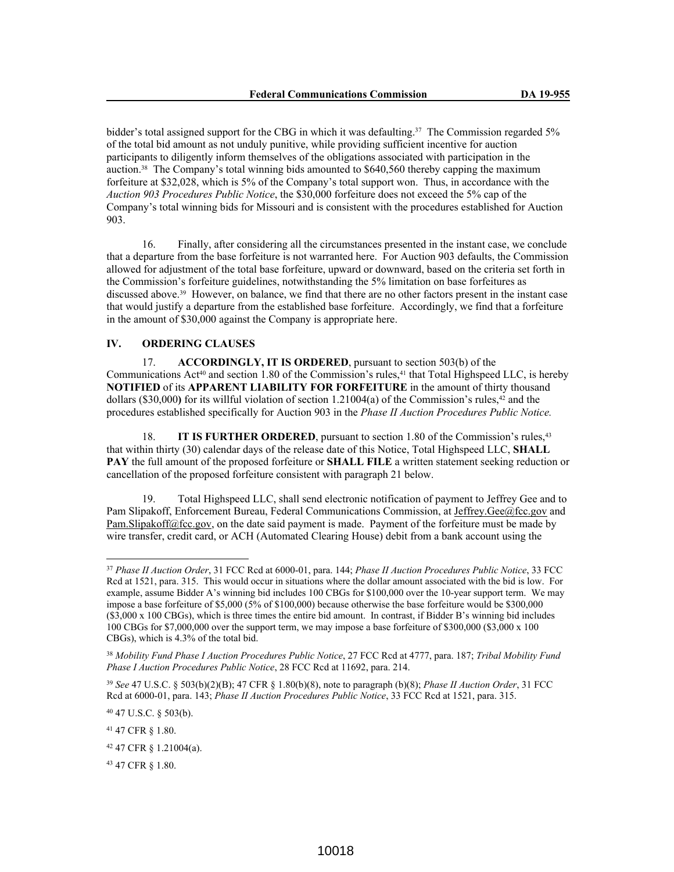bidder's total assigned support for the CBG in which it was defaulting.<sup>37</sup> The Commission regarded 5% of the total bid amount as not unduly punitive, while providing sufficient incentive for auction participants to diligently inform themselves of the obligations associated with participation in the auction.38 The Company's total winning bids amounted to \$640,560 thereby capping the maximum forfeiture at \$32,028, which is 5% of the Company's total support won. Thus, in accordance with the *Auction 903 Procedures Public Notice*, the \$30,000 forfeiture does not exceed the 5% cap of the Company's total winning bids for Missouri and is consistent with the procedures established for Auction 903.

16. Finally, after considering all the circumstances presented in the instant case, we conclude that a departure from the base forfeiture is not warranted here. For Auction 903 defaults, the Commission allowed for adjustment of the total base forfeiture, upward or downward, based on the criteria set forth in the Commission's forfeiture guidelines, notwithstanding the 5% limitation on base forfeitures as discussed above.39 However, on balance, we find that there are no other factors present in the instant case that would justify a departure from the established base forfeiture. Accordingly, we find that a forfeiture in the amount of \$30,000 against the Company is appropriate here.

## **IV. ORDERING CLAUSES**

17. **ACCORDINGLY, IT IS ORDERED**, pursuant to section 503(b) of the Communications Act<sup>40</sup> and section 1.80 of the Commission's rules,  $41$  that Total Highspeed LLC, is hereby **NOTIFIED** of its **APPARENT LIABILITY FOR FORFEITURE** in the amount of thirty thousand dollars (\$30,000) for its willful violation of section 1.21004(a) of the Commission's rules,<sup>42</sup> and the procedures established specifically for Auction 903 in the *Phase II Auction Procedures Public Notice.*

18. **IT IS FURTHER ORDERED**, pursuant to section 1.80 of the Commission's rules,<sup>43</sup> that within thirty (30) calendar days of the release date of this Notice, Total Highspeed LLC, **SHALL PAY** the full amount of the proposed forfeiture or **SHALL FILE** a written statement seeking reduction or cancellation of the proposed forfeiture consistent with paragraph 21 below.

19. Total Highspeed LLC, shall send electronic notification of payment to Jeffrey Gee and to Pam Slipakoff, Enforcement Bureau, Federal Communications Commission, at Jeffrey.Gee@fcc.gov and Pam.Slipakoff@fcc.gov, on the date said payment is made. Payment of the forfeiture must be made by wire transfer, credit card, or ACH (Automated Clearing House) debit from a bank account using the

<sup>40</sup> 47 U.S.C. § 503(b).

<sup>37</sup> *Phase II Auction Order*, 31 FCC Rcd at 6000-01, para. 144; *Phase II Auction Procedures Public Notice*, 33 FCC Rcd at 1521, para. 315. This would occur in situations where the dollar amount associated with the bid is low. For example, assume Bidder A's winning bid includes 100 CBGs for \$100,000 over the 10-year support term. We may impose a base forfeiture of \$5,000 (5% of \$100,000) because otherwise the base forfeiture would be \$300,000 (\$3,000 x 100 CBGs), which is three times the entire bid amount. In contrast, if Bidder B's winning bid includes 100 CBGs for \$7,000,000 over the support term, we may impose a base forfeiture of \$300,000 (\$3,000 x 100 CBGs), which is 4.3% of the total bid.

<sup>38</sup> *Mobility Fund Phase I Auction Procedures Public Notice*, 27 FCC Rcd at 4777, para. 187; *Tribal Mobility Fund Phase I Auction Procedures Public Notice*, 28 FCC Rcd at 11692, para. 214.

<sup>39</sup> *See* 47 U.S.C. § 503(b)(2)(B); 47 CFR § 1.80(b)(8), note to paragraph (b)(8); *Phase II Auction Order*, 31 FCC Rcd at 6000-01, para. 143; *Phase II Auction Procedures Public Notice*, 33 FCC Rcd at 1521, para. 315.

<sup>41</sup> 47 CFR § 1.80.

<sup>42</sup> 47 CFR § 1.21004(a).

<sup>43</sup> 47 CFR § 1.80.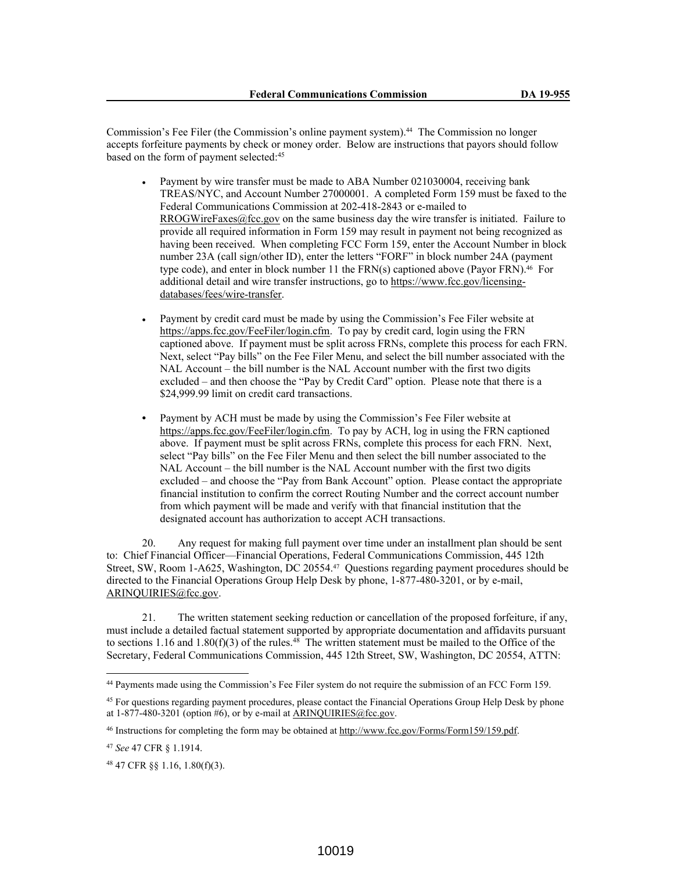Commission's Fee Filer (the Commission's online payment system).44 The Commission no longer accepts forfeiture payments by check or money order. Below are instructions that payors should follow based on the form of payment selected:<sup>45</sup>

- Payment by wire transfer must be made to ABA Number 021030004, receiving bank TREAS/NYC, and Account Number 27000001. A completed Form 159 must be faxed to the Federal Communications Commission at 202-418-2843 or e-mailed to RROGWireFaxes@fcc.gov on the same business day the wire transfer is initiated. Failure to provide all required information in Form 159 may result in payment not being recognized as having been received. When completing FCC Form 159, enter the Account Number in block number 23A (call sign/other ID), enter the letters "FORF" in block number 24A (payment type code), and enter in block number 11 the FRN(s) captioned above (Payor FRN).<sup>46</sup> For additional detail and wire transfer instructions, go to https://www.fcc.gov/licensingdatabases/fees/wire-transfer.
- Payment by credit card must be made by using the Commission's Fee Filer website at https://apps.fcc.gov/FeeFiler/login.cfm. To pay by credit card, login using the FRN captioned above. If payment must be split across FRNs, complete this process for each FRN. Next, select "Pay bills" on the Fee Filer Menu, and select the bill number associated with the NAL Account – the bill number is the NAL Account number with the first two digits excluded – and then choose the "Pay by Credit Card" option. Please note that there is a \$24,999.99 limit on credit card transactions.
- **•** Payment by ACH must be made by using the Commission's Fee Filer website at https://apps.fcc.gov/FeeFiler/login.cfm. To pay by ACH, log in using the FRN captioned above. If payment must be split across FRNs, complete this process for each FRN. Next, select "Pay bills" on the Fee Filer Menu and then select the bill number associated to the NAL Account – the bill number is the NAL Account number with the first two digits excluded – and choose the "Pay from Bank Account" option. Please contact the appropriate financial institution to confirm the correct Routing Number and the correct account number from which payment will be made and verify with that financial institution that the designated account has authorization to accept ACH transactions.

20. Any request for making full payment over time under an installment plan should be sent to: Chief Financial Officer—Financial Operations, Federal Communications Commission, 445 12th Street, SW, Room 1-A625, Washington, DC 20554.47 Questions regarding payment procedures should be directed to the Financial Operations Group Help Desk by phone, 1-877-480-3201, or by e-mail, ARINQUIRIES@fcc.gov.

21. The written statement seeking reduction or cancellation of the proposed forfeiture, if any, must include a detailed factual statement supported by appropriate documentation and affidavits pursuant to sections 1.16 and 1.80(f)(3) of the rules.<sup>48</sup> The written statement must be mailed to the Office of the Secretary, Federal Communications Commission, 445 12th Street, SW, Washington, DC 20554, ATTN:

<sup>44</sup> Payments made using the Commission's Fee Filer system do not require the submission of an FCC Form 159.

<sup>&</sup>lt;sup>45</sup> For questions regarding payment procedures, please contact the Financial Operations Group Help Desk by phone at  $1-877-480-3201$  (option #6), or by e-mail at ARINQUIRIES@fcc.gov.

<sup>46</sup> Instructions for completing the form may be obtained at http://www.fcc.gov/Forms/Form159/159.pdf.

<sup>47</sup> *See* 47 CFR § 1.1914.

<sup>48</sup> 47 CFR §§ 1.16, 1.80(f)(3).